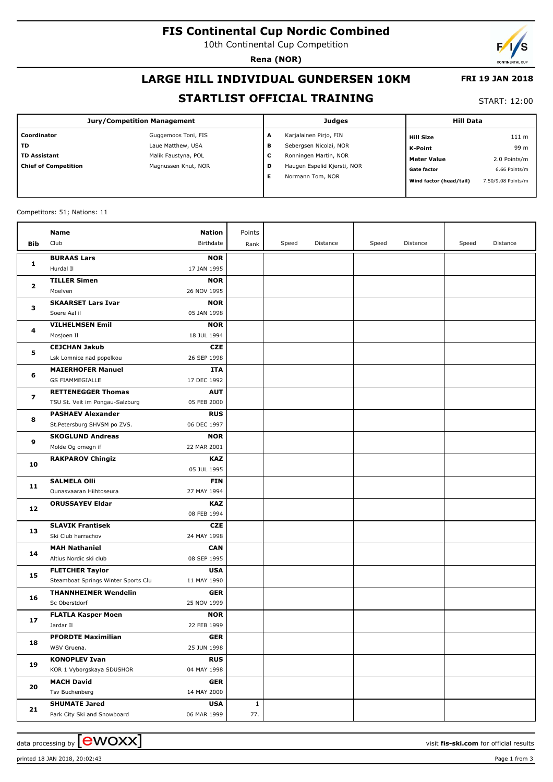## **FIS Continental Cup Nordic Combined**

10th Continental Cup Competition

**Rena (NOR)**

# **LARGE HILL INDIVIDUAL GUNDERSEN 10KM**

### **STARTLIST OFFICIAL TRAINING**

START: 12:00

 **FRI 19 JAN 2018**

| Coordinator<br>Guggemoos Toni, FIS<br>Karjalainen Pirjo, FIN<br>A<br><b>Hill Size</b>                        | 111 m         |
|--------------------------------------------------------------------------------------------------------------|---------------|
| <b>TD</b><br>Sebergsen Nicolai, NOR<br>Laue Matthew, USA<br>в<br>K-Point                                     | 99 m          |
| TD Assistant<br>Malik Faustyna, POL<br>Ronningen Martin, NOR<br>-<br>◡<br><b>Meter Value</b>                 | 2.0 Points/m  |
| <b>Chief of Competition</b><br>Haugen Espelid Kjersti, NOR<br>Magnussen Knut, NOR<br>D<br><b>Gate factor</b> | 6.66 Points/m |
| Е<br>Normann Tom, NOR<br>Wind factor (head/tail)<br>7.50/9.08 Points/m                                       |               |

#### Competitors: 51; Nations: 11

|                         | Name                                         | <b>Nation</b>             | Points       |       |          |       |          |       |          |
|-------------------------|----------------------------------------------|---------------------------|--------------|-------|----------|-------|----------|-------|----------|
| Bib                     | Club                                         | Birthdate                 | Rank         | Speed | Distance | Speed | Distance | Speed | Distance |
|                         | <b>BURAAS Lars</b>                           | <b>NOR</b>                |              |       |          |       |          |       |          |
| 1                       | Hurdal II                                    | 17 JAN 1995               |              |       |          |       |          |       |          |
| $\overline{\mathbf{2}}$ | <b>TILLER Simen</b>                          | <b>NOR</b>                |              |       |          |       |          |       |          |
|                         | Moelven                                      | 26 NOV 1995               |              |       |          |       |          |       |          |
| з                       | <b>SKAARSET Lars Ivar</b>                    | <b>NOR</b>                |              |       |          |       |          |       |          |
|                         | Soere Aal il                                 | 05 JAN 1998               |              |       |          |       |          |       |          |
| 4                       | <b>VILHELMSEN Emil</b>                       | <b>NOR</b>                |              |       |          |       |          |       |          |
|                         | Mosjoen Il                                   | 18 JUL 1994               |              |       |          |       |          |       |          |
| 5                       | <b>CEJCHAN Jakub</b>                         | <b>CZE</b>                |              |       |          |       |          |       |          |
|                         | Lsk Lomnice nad popelkou                     | 26 SEP 1998               |              |       |          |       |          |       |          |
|                         | <b>MAIERHOFER Manuel</b>                     | <b>ITA</b>                |              |       |          |       |          |       |          |
| 6                       | <b>GS FIAMMEGIALLE</b>                       | 17 DEC 1992               |              |       |          |       |          |       |          |
| 7                       | <b>RETTENEGGER Thomas</b>                    | <b>AUT</b>                |              |       |          |       |          |       |          |
|                         | TSU St. Veit im Pongau-Salzburg              | 05 FEB 2000               |              |       |          |       |          |       |          |
|                         | <b>PASHAEV Alexander</b>                     | <b>RUS</b>                |              |       |          |       |          |       |          |
| 8                       | St.Petersburg SHVSM po ZVS.                  | 06 DEC 1997               |              |       |          |       |          |       |          |
| 9                       | <b>SKOGLUND Andreas</b>                      | <b>NOR</b>                |              |       |          |       |          |       |          |
|                         | Molde Og omegn if                            | 22 MAR 2001               |              |       |          |       |          |       |          |
| 10                      | <b>RAKPAROV Chingiz</b>                      | KAZ                       |              |       |          |       |          |       |          |
|                         |                                              | 05 JUL 1995               |              |       |          |       |          |       |          |
| 11                      | <b>SALMELA Olli</b>                          | <b>FIN</b>                |              |       |          |       |          |       |          |
|                         | Ounasvaaran Hiihtoseura                      | 27 MAY 1994               |              |       |          |       |          |       |          |
| 12                      | <b>ORUSSAYEV Eldar</b>                       | KAZ                       |              |       |          |       |          |       |          |
|                         |                                              | 08 FEB 1994               |              |       |          |       |          |       |          |
| 13                      | <b>SLAVIK Frantisek</b>                      | <b>CZE</b>                |              |       |          |       |          |       |          |
|                         | Ski Club harrachov                           | 24 MAY 1998               |              |       |          |       |          |       |          |
| 14                      | <b>MAH Nathaniel</b>                         | <b>CAN</b>                |              |       |          |       |          |       |          |
|                         | Altius Nordic ski club                       | 08 SEP 1995               |              |       |          |       |          |       |          |
| 15                      | <b>FLETCHER Taylor</b>                       | <b>USA</b>                |              |       |          |       |          |       |          |
|                         | Steamboat Springs Winter Sports Clu          | 11 MAY 1990               |              |       |          |       |          |       |          |
| 16                      | <b>THANNHEIMER Wendelin</b><br>Sc Oberstdorf | <b>GER</b><br>25 NOV 1999 |              |       |          |       |          |       |          |
|                         | <b>FLATLA Kasper Moen</b>                    | <b>NOR</b>                |              |       |          |       |          |       |          |
| 17                      | Jardar II                                    | 22 FEB 1999               |              |       |          |       |          |       |          |
|                         | <b>PFORDTE Maximilian</b>                    | <b>GER</b>                |              |       |          |       |          |       |          |
| 18                      | WSV Gruena.                                  | 25 JUN 1998               |              |       |          |       |          |       |          |
| 19                      | <b>KONOPLEV Ivan</b>                         | <b>RUS</b>                |              |       |          |       |          |       |          |
|                         | KOR 1 Vyborgskaya SDUSHOR                    | 04 MAY 1998               |              |       |          |       |          |       |          |
|                         | <b>MACH David</b>                            | <b>GER</b>                |              |       |          |       |          |       |          |
| 20                      | Tsv Buchenberg                               | 14 MAY 2000               |              |       |          |       |          |       |          |
|                         | <b>SHUMATE Jared</b>                         | <b>USA</b>                | $\mathbf{1}$ |       |          |       |          |       |          |
| 21                      | Park City Ski and Snowboard                  | 06 MAR 1999               | 77.          |       |          |       |          |       |          |
|                         |                                              |                           |              |       |          |       |          |       |          |

data processing by **CWOXX**  $\blacksquare$ 

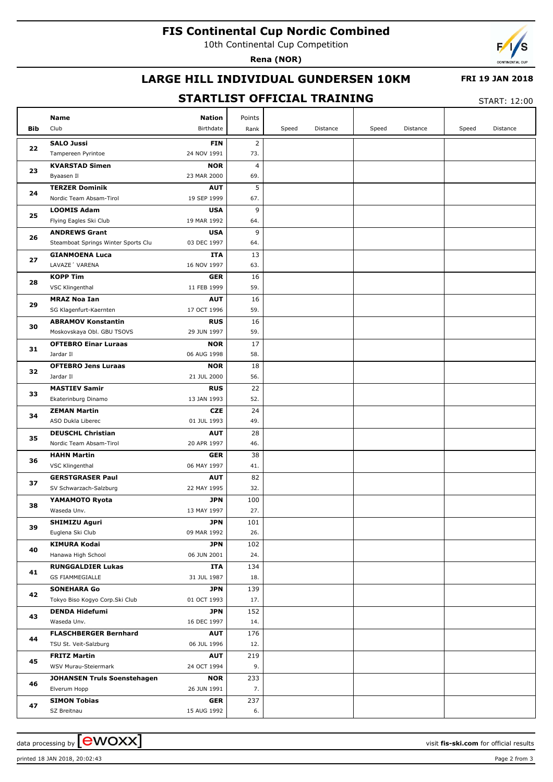## **FIS Continental Cup Nordic Combined**

10th Continental Cup Competition

**Rena (NOR)**



### **LARGE HILL INDIVIDUAL GUNDERSEN 10KM**

#### **FRI 19 JAN 2018**

### **STARTLIST OFFICIAL TRAINING**

START: 12:00

|            | Name                                    | <b>Nation</b>             | Points         |       |          |       |          |       |          |
|------------|-----------------------------------------|---------------------------|----------------|-------|----------|-------|----------|-------|----------|
| <b>Bib</b> | Club                                    | Birthdate                 | Rank           | Speed | Distance | Speed | Distance | Speed | Distance |
|            | <b>SALO Jussi</b>                       | <b>FIN</b>                | $\overline{2}$ |       |          |       |          |       |          |
| 22         | Tampereen Pyrintoe                      | 24 NOV 1991               | 73.            |       |          |       |          |       |          |
| 23         | <b>KVARSTAD Simen</b>                   | <b>NOR</b>                | 4              |       |          |       |          |       |          |
|            | Byaasen Il                              | 23 MAR 2000               | 69.            |       |          |       |          |       |          |
| 24         | <b>TERZER Dominik</b>                   | <b>AUT</b>                | 5              |       |          |       |          |       |          |
|            | Nordic Team Absam-Tirol                 | 19 SEP 1999               | 67.            |       |          |       |          |       |          |
| 25         | <b>LOOMIS Adam</b>                      | <b>USA</b>                | 9              |       |          |       |          |       |          |
| 26         | Flying Eagles Ski Club                  | 19 MAR 1992               | 64.            |       |          |       |          |       |          |
|            | <b>ANDREWS Grant</b>                    | <b>USA</b>                | 9              |       |          |       |          |       |          |
| 27         | Steamboat Springs Winter Sports Clu     | 03 DEC 1997               | 64.            |       |          |       |          |       |          |
|            | <b>GIANMOENA Luca</b><br>LAVAZE' VARENA | ITA<br>16 NOV 1997        | 13<br>63.      |       |          |       |          |       |          |
|            | <b>KOPP Tim</b>                         | <b>GER</b>                | 16             |       |          |       |          |       |          |
| 28         | VSC Klingenthal                         | 11 FEB 1999               | 59.            |       |          |       |          |       |          |
|            | <b>MRAZ Noa Ian</b>                     | <b>AUT</b>                | 16             |       |          |       |          |       |          |
| 29         | SG Klagenfurt-Kaernten                  | 17 OCT 1996               | 59.            |       |          |       |          |       |          |
|            | <b>ABRAMOV Konstantin</b>               | <b>RUS</b>                | 16             |       |          |       |          |       |          |
| 30         | Moskovskaya Obl. GBU TSOVS              | 29 JUN 1997               | 59.            |       |          |       |          |       |          |
|            | <b>OFTEBRO Einar Luraas</b>             | <b>NOR</b>                | 17             |       |          |       |          |       |          |
| 31         | Jardar II                               | 06 AUG 1998               | 58.            |       |          |       |          |       |          |
| 32         | <b>OFTEBRO Jens Luraas</b>              | <b>NOR</b>                | 18             |       |          |       |          |       |          |
|            | Jardar II                               | 21 JUL 2000               | 56.            |       |          |       |          |       |          |
| 33         | <b>MASTIEV Samir</b>                    | <b>RUS</b>                | 22             |       |          |       |          |       |          |
|            | Ekaterinburg Dinamo                     | 13 JAN 1993               | 52.            |       |          |       |          |       |          |
| 34         | <b>ZEMAN Martin</b>                     | CZE                       | 24             |       |          |       |          |       |          |
|            | ASO Dukla Liberec                       | 01 JUL 1993               | 49.            |       |          |       |          |       |          |
| 35         | <b>DEUSCHL Christian</b>                | <b>AUT</b>                | 28             |       |          |       |          |       |          |
|            | Nordic Team Absam-Tirol                 | 20 APR 1997               | 46.            |       |          |       |          |       |          |
| 36         | <b>HAHN Martin</b><br>VSC Klingenthal   | <b>GER</b><br>06 MAY 1997 | 38<br>41.      |       |          |       |          |       |          |
|            | <b>GERSTGRASER Paul</b>                 | <b>AUT</b>                | 82             |       |          |       |          |       |          |
| 37         | SV Schwarzach-Salzburg                  | 22 MAY 1995               | 32.            |       |          |       |          |       |          |
| 38         | YAMAMOTO Ryota                          | JPN                       | 100            |       |          |       |          |       |          |
|            | Waseda Unv.                             | 13 MAY 1997               | 27.            |       |          |       |          |       |          |
|            | <b>SHIMIZU Aguri</b>                    | <b>JPN</b>                | 101            |       |          |       |          |       |          |
| 39         | Euglena Ski Club                        | 09 MAR 1992               | 26.            |       |          |       |          |       |          |
| 40         | <b>KIMURA Kodai</b>                     | JPN                       | 102            |       |          |       |          |       |          |
|            | Hanawa High School                      | 06 JUN 2001               | 24.            |       |          |       |          |       |          |
| 41         | <b>RUNGGALDIER Lukas</b>                | ITA                       | 134            |       |          |       |          |       |          |
|            | <b>GS FIAMMEGIALLE</b>                  | 31 JUL 1987               | 18.            |       |          |       |          |       |          |
| 42         | <b>SONEHARA Go</b>                      | JPN                       | 139            |       |          |       |          |       |          |
|            | Tokyo Biso Kogyo Corp.Ski Club          | 01 OCT 1993               | 17.            |       |          |       |          |       |          |
| 43         | <b>DENDA Hidefumi</b><br>Waseda Unv.    | JPN<br>16 DEC 1997        | 152<br>14.     |       |          |       |          |       |          |
|            | <b>FLASCHBERGER Bernhard</b>            | <b>AUT</b>                | 176            |       |          |       |          |       |          |
| 44         | TSU St. Veit-Salzburg                   | 06 JUL 1996               | 12.            |       |          |       |          |       |          |
|            | <b>FRITZ Martin</b>                     | <b>AUT</b>                | 219            |       |          |       |          |       |          |
| 45         | WSV Murau-Steiermark                    | 24 OCT 1994               | 9.             |       |          |       |          |       |          |
|            | JOHANSEN Truls Soenstehagen             | <b>NOR</b>                | 233            |       |          |       |          |       |          |
| 46         | Elverum Hopp                            | 26 JUN 1991               | 7.             |       |          |       |          |       |          |
|            | <b>SIMON Tobias</b>                     | <b>GER</b>                | 237            |       |          |       |          |       |          |
| 47         | SZ Breitnau                             | 15 AUG 1992               | 6.             |       |          |       |          |       |          |